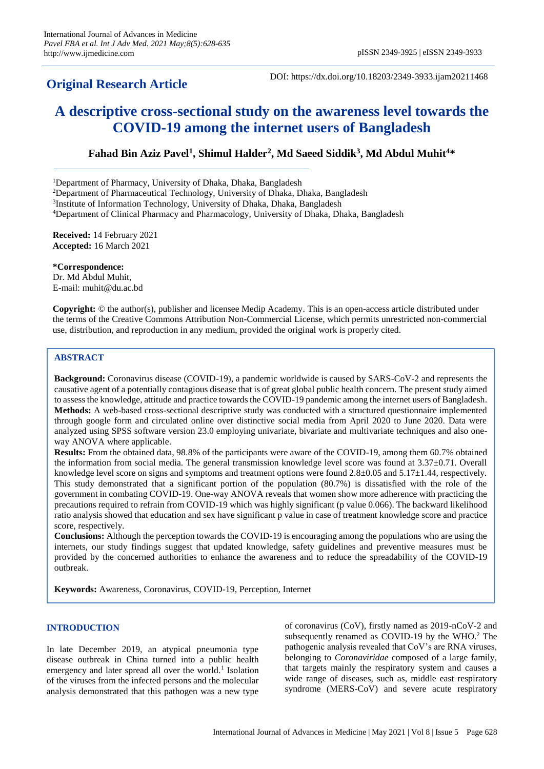## **Original Research Article**

DOI: https://dx.doi.org/10.18203/2349-3933.ijam20211468

# **A descriptive cross-sectional study on the awareness level towards the COVID-19 among the internet users of Bangladesh**

## **Fahad Bin Aziz Pavel<sup>1</sup> , Shimul Halder<sup>2</sup> , Md Saeed Siddik<sup>3</sup> , Md Abdul Muhit<sup>4</sup>\***

<sup>1</sup>Department of Pharmacy, University of Dhaka, Dhaka, Bangladesh

<sup>2</sup>Department of Pharmaceutical Technology, University of Dhaka, Dhaka, Bangladesh

<sup>3</sup>Institute of Information Technology, University of Dhaka, Dhaka, Bangladesh

<sup>4</sup>Department of Clinical Pharmacy and Pharmacology, University of Dhaka, Dhaka, Bangladesh

**Received:** 14 February 2021 **Accepted:** 16 March 2021

**\*Correspondence:** Dr. Md Abdul Muhit, E-mail: muhit@du.ac.bd

**Copyright:** © the author(s), publisher and licensee Medip Academy. This is an open-access article distributed under the terms of the Creative Commons Attribution Non-Commercial License, which permits unrestricted non-commercial use, distribution, and reproduction in any medium, provided the original work is properly cited.

## **ABSTRACT**

**Background:** Coronavirus disease (COVID-19), a pandemic worldwide is caused by SARS-CoV-2 and represents the causative agent of a potentially contagious disease that is of great global public health concern. The present study aimed to assess the knowledge, attitude and practice towards the COVID-19 pandemic among the internet users of Bangladesh. **Methods:** A web-based cross-sectional descriptive study was conducted with a structured questionnaire implemented through google form and circulated online over distinctive social media from April 2020 to June 2020. Data were analyzed using SPSS software version 23.0 employing univariate, bivariate and multivariate techniques and also oneway ANOVA where applicable.

**Results:** From the obtained data, 98.8% of the participants were aware of the COVID-19, among them 60.7% obtained the information from social media. The general transmission knowledge level score was found at  $3.37\pm0.71$ . Overall knowledge level score on signs and symptoms and treatment options were found 2.8±0.05 and 5.17±1.44, respectively. This study demonstrated that a significant portion of the population (80.7%) is dissatisfied with the role of the government in combating COVID-19. One-way ANOVA reveals that women show more adherence with practicing the precautions required to refrain from COVID-19 which was highly significant (p value 0.066). The backward likelihood ratio analysis showed that education and sex have significant p value in case of treatment knowledge score and practice score, respectively.

**Conclusions:** Although the perception towards the COVID-19 is encouraging among the populations who are using the internets, our study findings suggest that updated knowledge, safety guidelines and preventive measures must be provided by the concerned authorities to enhance the awareness and to reduce the spreadability of the COVID-19 outbreak.

**Keywords:** Awareness, Coronavirus, COVID-19, Perception, Internet

## **INTRODUCTION**

In late December 2019, an atypical pneumonia type disease outbreak in China turned into a public health emergency and later spread all over the world.<sup>1</sup> Isolation of the viruses from the infected persons and the molecular analysis demonstrated that this pathogen was a new type

of coronavirus (CoV), firstly named as 2019-nCoV-2 and subsequently renamed as COVID-19 by the WHO.<sup>2</sup> The pathogenic analysis revealed that CoV's are RNA viruses, belonging to *Coronaviridae* composed of a large family, that targets mainly the respiratory system and causes a wide range of diseases, such as, middle east respiratory syndrome (MERS-CoV) and severe acute respiratory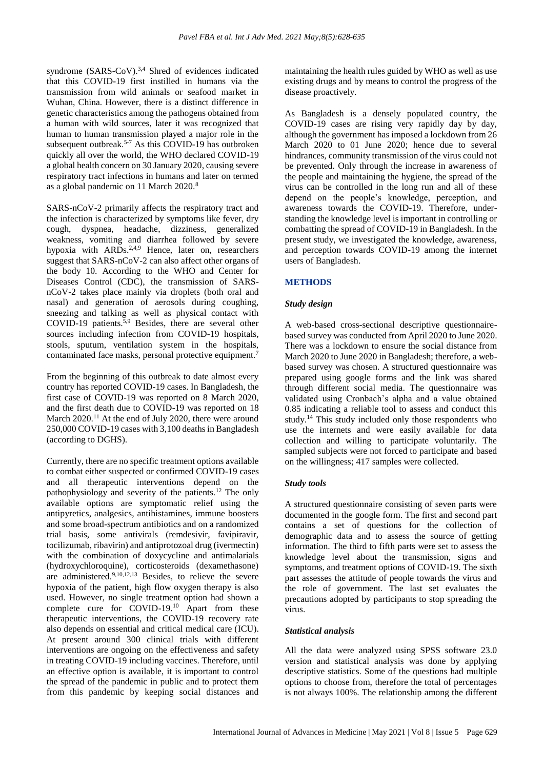syndrome (SARS-CoV).<sup>3,4</sup> Shred of evidences indicated that this COVID-19 first instilled in humans via the transmission from wild animals or seafood market in Wuhan, China. However, there is a distinct difference in genetic characteristics among the pathogens obtained from a human with wild sources, later it was recognized that human to human transmission played a major role in the subsequent outbreak.<sup>5-7</sup> As this COVID-19 has outbroken quickly all over the world, the WHO declared COVID-19 a global health concern on 30 January 2020, causing severe respiratory tract infections in humans and later on termed as a global pandemic on 11 March 2020.<sup>8</sup>

SARS-nCoV-2 primarily affects the respiratory tract and the infection is characterized by symptoms like fever, dry cough, dyspnea, headache, dizziness, generalized weakness, vomiting and diarrhea followed by severe hypoxia with  $ARDs^{2,4,9}$  Hence, later on, researchers suggest that SARS-nCoV-2 can also affect other organs of the body 10. According to the WHO and Center for Diseases Control (CDC), the transmission of SARSnCoV-2 takes place mainly via droplets (both oral and nasal) and generation of aerosols during coughing, sneezing and talking as well as physical contact with COVID-19 patients.<sup>5,9</sup> Besides, there are several other sources including infection from COVID-19 hospitals, stools, sputum, ventilation system in the hospitals, contaminated face masks, personal protective equipment.<sup>7</sup>

From the beginning of this outbreak to date almost every country has reported COVID-19 cases. In Bangladesh, the first case of COVID-19 was reported on 8 March 2020, and the first death due to COVID-19 was reported on 18 March 2020.<sup>11</sup> At the end of July 2020, there were around 250,000 COVID-19 cases with 3,100 deaths in Bangladesh (according to DGHS).

Currently, there are no specific treatment options available to combat either suspected or confirmed COVID-19 cases and all therapeutic interventions depend on the pathophysiology and severity of the patients.<sup>12</sup> The only available options are symptomatic relief using the antipyretics, analgesics, antihistamines, immune boosters and some broad-spectrum antibiotics and on a randomized trial basis, some antivirals (remdesivir, favipiravir, tocilizumab, ribavirin) and antiprotozoal drug (ivermectin) with the combination of doxycycline and antimalarials (hydroxychloroquine), corticosteroids (dexamethasone) are administered.<sup>9,10,12,13</sup> Besides, to relieve the severe hypoxia of the patient, high flow oxygen therapy is also used. However, no single treatment option had shown a complete cure for COVID-19.<sup>10</sup> Apart from these therapeutic interventions, the COVID-19 recovery rate also depends on essential and critical medical care (ICU). At present around 300 clinical trials with different interventions are ongoing on the effectiveness and safety in treating COVID-19 including vaccines. Therefore, until an effective option is available, it is important to control the spread of the pandemic in public and to protect them from this pandemic by keeping social distances and maintaining the health rules guided by WHO as well as use existing drugs and by means to control the progress of the disease proactively.

As Bangladesh is a densely populated country, the COVID-19 cases are rising very rapidly day by day, although the government has imposed a lockdown from 26 March 2020 to 01 June 2020; hence due to several hindrances, community transmission of the virus could not be prevented. Only through the increase in awareness of the people and maintaining the hygiene, the spread of the virus can be controlled in the long run and all of these depend on the people's knowledge, perception, and awareness towards the COVID-19. Therefore, understanding the knowledge level is important in controlling or combatting the spread of COVID-19 in Bangladesh. In the present study, we investigated the knowledge, awareness, and perception towards COVID-19 among the internet users of Bangladesh.

## **METHODS**

## *Study design*

A web-based cross-sectional descriptive questionnairebased survey was conducted from April 2020 to June 2020. There was a lockdown to ensure the social distance from March 2020 to June 2020 in Bangladesh; therefore, a webbased survey was chosen. A structured questionnaire was prepared using google forms and the link was shared through different social media. The questionnaire was validated using Cronbach's alpha and a value obtained 0.85 indicating a reliable tool to assess and conduct this study.<sup>14</sup> This study included only those respondents who use the internets and were easily available for data collection and willing to participate voluntarily. The sampled subjects were not forced to participate and based on the willingness; 417 samples were collected.

## *Study tools*

A structured questionnaire consisting of seven parts were documented in the google form. The first and second part contains a set of questions for the collection of demographic data and to assess the source of getting information. The third to fifth parts were set to assess the knowledge level about the transmission, signs and symptoms, and treatment options of COVID-19. The sixth part assesses the attitude of people towards the virus and the role of government. The last set evaluates the precautions adopted by participants to stop spreading the virus.

## *Statistical analysis*

All the data were analyzed using SPSS software 23.0 version and statistical analysis was done by applying descriptive statistics. Some of the questions had multiple options to choose from, therefore the total of percentages is not always 100%. The relationship among the different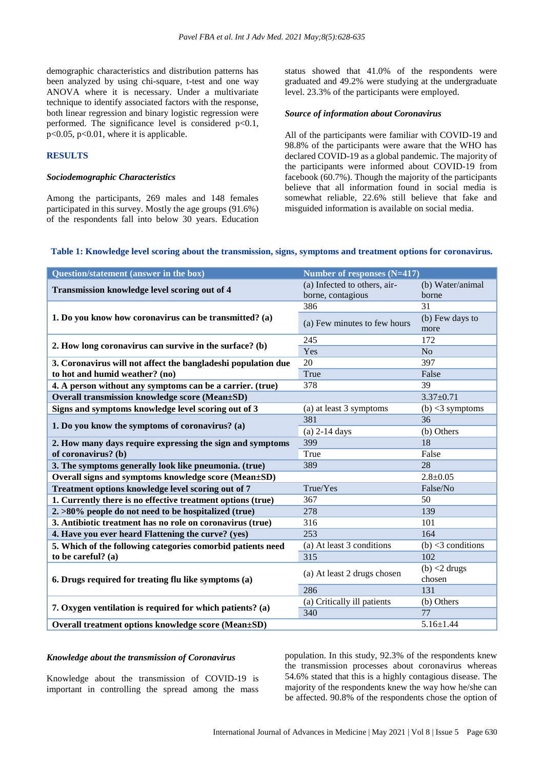demographic characteristics and distribution patterns has been analyzed by using chi-square, t-test and one way ANOVA where it is necessary. Under a multivariate technique to identify associated factors with the response, both linear regression and binary logistic regression were performed. The significance level is considered  $p<0.1$ , p<0.05, p<0.01, where it is applicable.

#### **RESULTS**

## *Sociodemographic Characteristics*

Among the participants, 269 males and 148 females participated in this survey. Mostly the age groups (91.6%) of the respondents fall into below 30 years. Education status showed that 41.0% of the respondents were graduated and 49.2% were studying at the undergraduate level. 23.3% of the participants were employed.

#### *Source of information about Coronavirus*

All of the participants were familiar with COVID-19 and 98.8% of the participants were aware that the WHO has declared COVID-19 as a global pandemic. The majority of the participants were informed about COVID-19 from facebook (60.7%). Though the majority of the participants believe that all information found in social media is somewhat reliable, 22.6% still believe that fake and misguided information is available on social media.

#### **Table 1: Knowledge level scoring about the transmission, signs, symptoms and treatment options for coronavirus.**

| Question/statement (answer in the box)                        | Number of responses (N=417)  |                         |  |  |
|---------------------------------------------------------------|------------------------------|-------------------------|--|--|
| Transmission knowledge level scoring out of 4                 | (a) Infected to others, air- | (b) Water/animal        |  |  |
|                                                               | borne, contagious            | borne                   |  |  |
|                                                               | 386                          | 31                      |  |  |
| 1. Do you know how coronavirus can be transmitted? (a)        | (a) Few minutes to few hours | (b) Few days to<br>more |  |  |
| 2. How long coronavirus can survive in the surface? (b)       | 245                          | 172                     |  |  |
|                                                               | Yes                          | N <sub>o</sub>          |  |  |
| 3. Coronavirus will not affect the bangladeshi population due | 20                           | 397                     |  |  |
| to hot and humid weather? (no)                                | True                         | False                   |  |  |
| 4. A person without any symptoms can be a carrier. (true)     | 378                          | 39                      |  |  |
| <b>Overall transmission knowledge score (Mean±SD)</b>         |                              | $3.37 \pm 0.71$         |  |  |
| Signs and symptoms knowledge level scoring out of 3           | (a) at least 3 symptoms      | $(b)$ <3 symptoms       |  |  |
| 1. Do you know the symptoms of coronavirus? (a)               | 381                          | 36                      |  |  |
|                                                               | (a) $2-14$ days              | (b) Others              |  |  |
| 2. How many days require expressing the sign and symptoms     | 399                          | 18                      |  |  |
| of coronavirus? (b)                                           | True                         | False                   |  |  |
| 3. The symptoms generally look like pneumonia. (true)         | 389                          | $\overline{28}$         |  |  |
| Overall signs and symptoms knowledge score (Mean±SD)          |                              | $2.8 \pm 0.05$          |  |  |
| Treatment options knowledge level scoring out of 7            | True/Yes                     | False/No                |  |  |
| 1. Currently there is no effective treatment options (true)   | 367                          | 50                      |  |  |
| $2. >80\%$ people do not need to be hospitalized (true)       | 278                          | 139                     |  |  |
| 3. Antibiotic treatment has no role on coronavirus (true)     | 316                          | 101                     |  |  |
| 4. Have you ever heard Flattening the curve? (yes)            | 253                          | 164                     |  |  |
| 5. Which of the following categories comorbid patients need   | (a) At least 3 conditions    | $(b)$ <3 conditions     |  |  |
| to be careful? (a)                                            | 315                          | 102                     |  |  |
|                                                               | (a) At least 2 drugs chosen  | $(b)$ <2 drugs          |  |  |
| 6. Drugs required for treating flu like symptoms (a)          |                              | chosen                  |  |  |
|                                                               | 286                          | 131                     |  |  |
| 7. Oxygen ventilation is required for which patients? (a)     | (a) Critically ill patients  | (b) Others              |  |  |
|                                                               | 340                          | 77                      |  |  |
| Overall treatment options knowledge score (Mean±SD)           |                              | $5.16 \pm 1.44$         |  |  |

#### *Knowledge about the transmission of Coronavirus*

Knowledge about the transmission of COVID-19 is important in controlling the spread among the mass population. In this study, 92.3% of the respondents knew the transmission processes about coronavirus whereas 54.6% stated that this is a highly contagious disease. The majority of the respondents knew the way how he/she can be affected. 90.8% of the respondents chose the option of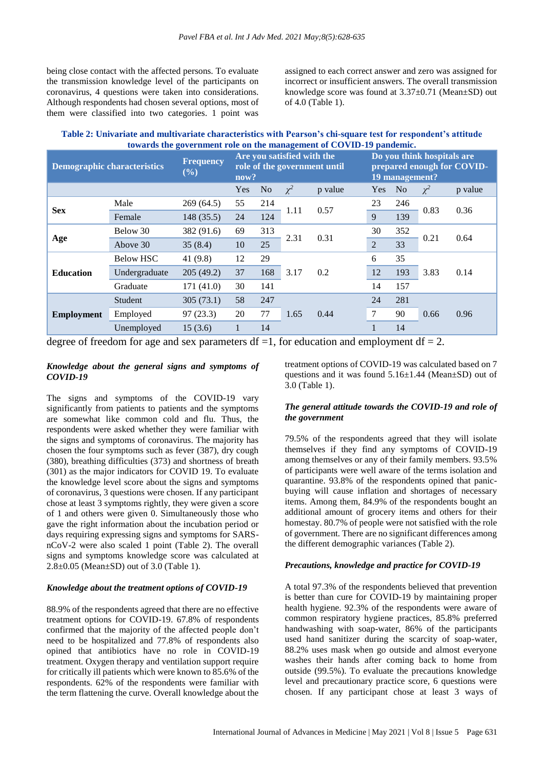being close contact with the affected persons. To evaluate the transmission knowledge level of the participants on coronavirus, 4 questions were taken into considerations. Although respondents had chosen several options, most of them were classified into two categories. 1 point was assigned to each correct answer and zero was assigned for incorrect or insufficient answers. The overall transmission knowledge score was found at 3.37±0.71 (Mean±SD) out of 4.0 (Table 1).

| Table 2: Univariate and multivariate characteristics with Pearson's chi-square test for respondent's attitude |
|---------------------------------------------------------------------------------------------------------------|
| towards the government role on the management of COVID-19 pandemic.                                           |

| <b>Demographic characteristics</b> |                  | 0<br><b>Frequency</b><br>$(\%)$ | Are you satisfied with the<br>role of the government until<br>now? |                |          |              | Do you think hospitals are<br>prepared enough for COVID-<br>19 management? |                |          |         |
|------------------------------------|------------------|---------------------------------|--------------------------------------------------------------------|----------------|----------|--------------|----------------------------------------------------------------------------|----------------|----------|---------|
|                                    |                  |                                 | Yes                                                                | N <sub>o</sub> | $\chi^2$ | p value      | Yes                                                                        | N <sub>o</sub> | $\chi^2$ | p value |
| <b>Sex</b>                         | Male             | 269(64.5)                       | 55                                                                 | 214            |          | 0.57<br>1.11 | 23                                                                         | 246            | 0.83     | 0.36    |
|                                    | Female           | 148 (35.5)                      | 24                                                                 | 124            |          |              | 9                                                                          | 139            |          |         |
| Age                                | Below 30         | 382 (91.6)                      | 69                                                                 | 313            | 2.31     | 0.31         | 30                                                                         | 352            | 0.21     | 0.64    |
|                                    | Above 30         | 35(8.4)                         | 10                                                                 | 25             |          |              | $\overline{2}$                                                             | 33             |          |         |
|                                    | <b>Below HSC</b> | 41 $(9.8)$                      | 12                                                                 | 29             |          | 0.2          | 6                                                                          | 35             |          | 0.14    |
| <b>Education</b>                   | Undergraduate    | 205(49.2)                       | 37                                                                 | 168            | 3.17     |              | 12                                                                         | 193            | 3.83     |         |
|                                    | Graduate         | 171 (41.0)                      | 30                                                                 | 141            |          |              | 14                                                                         | 157            |          |         |
| <b>Employment</b>                  | Student          | 305(73.1)                       | 58                                                                 | 247            |          |              | 24                                                                         | 281            |          | 0.96    |
|                                    | Employed         | 97(23.3)                        | 20                                                                 | 77             | 1.65     | 0.44         | 7                                                                          | 90             | 0.66     |         |
|                                    | Unemployed       | 15(3.6)                         | 1                                                                  | 14             |          |              | 1                                                                          | 14             |          |         |

degree of freedom for age and sex parameters  $df = 1$ , for education and employment  $df = 2$ .

## *Knowledge about the general signs and symptoms of COVID-19*

The signs and symptoms of the COVID-19 vary significantly from patients to patients and the symptoms are somewhat like common cold and flu. Thus, the respondents were asked whether they were familiar with the signs and symptoms of coronavirus. The majority has chosen the four symptoms such as fever (387), dry cough (380), breathing difficulties (373) and shortness of breath (301) as the major indicators for COVID 19. To evaluate the knowledge level score about the signs and symptoms of coronavirus, 3 questions were chosen. If any participant chose at least 3 symptoms rightly, they were given a score of 1 and others were given 0. Simultaneously those who gave the right information about the incubation period or days requiring expressing signs and symptoms for SARSnCoV-2 were also scaled 1 point (Table 2). The overall signs and symptoms knowledge score was calculated at 2.8±0.05 (Mean±SD) out of 3.0 (Table 1).

#### *Knowledge about the treatment options of COVID-19*

88.9% of the respondents agreed that there are no effective treatment options for COVID-19. 67.8% of respondents confirmed that the majority of the affected people don't need to be hospitalized and 77.8% of respondents also opined that antibiotics have no role in COVID-19 treatment. Oxygen therapy and ventilation support require for critically ill patients which were known to 85.6% of the respondents. 62% of the respondents were familiar with the term flattening the curve. Overall knowledge about the treatment options of COVID-19 was calculated based on 7 questions and it was found 5.16±1.44 (Mean±SD) out of 3.0 (Table 1).

## *The general attitude towards the COVID-19 and role of the government*

79.5% of the respondents agreed that they will isolate themselves if they find any symptoms of COVID-19 among themselves or any of their family members. 93.5% of participants were well aware of the terms isolation and quarantine. 93.8% of the respondents opined that panicbuying will cause inflation and shortages of necessary items. Among them, 84.9% of the respondents bought an additional amount of grocery items and others for their homestay. 80.7% of people were not satisfied with the role of government. There are no significant differences among the different demographic variances (Table 2).

## *Precautions, knowledge and practice for COVID-19*

A total 97.3% of the respondents believed that prevention is better than cure for COVID-19 by maintaining proper health hygiene. 92.3% of the respondents were aware of common respiratory hygiene practices, 85.8% preferred handwashing with soap-water, 86% of the participants used hand sanitizer during the scarcity of soap-water, 88.2% uses mask when go outside and almost everyone washes their hands after coming back to home from outside (99.5%). To evaluate the precautions knowledge level and precautionary practice score, 6 questions were chosen. If any participant chose at least 3 ways of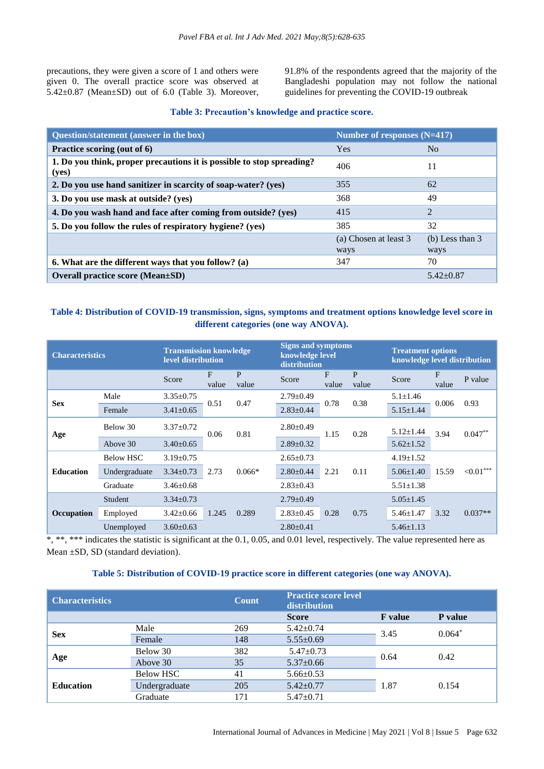precautions, they were given a score of 1 and others were given 0. The overall practice score was observed at 5.42±0.87 (Mean±SD) out of 6.0 (Table 3). Moreover, 91.8% of the respondents agreed that the majority of the Bangladeshi population may not follow the national guidelines for preventing the COVID-19 outbreak

| Question/statement (answer in the box)                                         | Number of responses $(N=417)$ |                   |  |  |
|--------------------------------------------------------------------------------|-------------------------------|-------------------|--|--|
| Practice scoring (out of 6)                                                    | <b>Yes</b>                    | No                |  |  |
| 1. Do you think, proper precautions it is possible to stop spreading?<br>(yes) | 406                           | 11                |  |  |
| 2. Do you use hand sanitizer in scarcity of soap-water? (yes)                  | 355                           | 62                |  |  |
| 3. Do you use mask at outside? (yes)                                           | 368                           | 49                |  |  |
| 4. Do you wash hand and face after coming from outside? (yes)                  | 415                           | $\overline{2}$    |  |  |
| 5. Do you follow the rules of respiratory hygiene? (yes)                       | 385                           | 32                |  |  |
|                                                                                | (a) Chosen at least 3         | $(b)$ Less than 3 |  |  |
|                                                                                | ways                          | ways              |  |  |
| 6. What are the different ways that you follow? (a)                            | 347                           | 70                |  |  |
| <b>Overall practice score (Mean</b> ± SD)                                      |                               | $5.42 \pm 0.87$   |  |  |

## **Table 4: Distribution of COVID-19 transmission, signs, symptoms and treatment options knowledge level score in different categories (one way ANOVA).**

| <b>Characteristics</b> |                  | level distribution | <b>Transmission knowledge</b> |                       | <b>Signs and symptoms</b><br>knowledge level<br>distribution |              |                 | <b>Treatment options</b><br>knowledge level distribution |            |              |
|------------------------|------------------|--------------------|-------------------------------|-----------------------|--------------------------------------------------------------|--------------|-----------------|----------------------------------------------------------|------------|--------------|
|                        |                  | Score              | F<br>value                    | $\mathbf{P}$<br>value | Score                                                        | F<br>value   | P<br>value      | Score                                                    | F<br>value | P value      |
| <b>Sex</b>             | Male             | $3.35 \pm 0.75$    | 0.51                          | 0.47                  | $2.79 \pm 0.49$                                              | 0.38<br>0.78 | $5.1 \pm 1.46$  | 0.006                                                    | 0.93       |              |
|                        | Female           | $3.41 \pm 0.65$    |                               |                       | $2.83 \pm 0.44$                                              |              |                 | $5.15 \pm 1.44$                                          |            |              |
| Age                    | Below 30         | $3.37 \pm 0.72$    | 0.81<br>0.06                  |                       | $2.80 \pm 0.49$                                              | 1.15         | 0.28            | $5.12 \pm 1.44$                                          | 3.94       | $0.047**$    |
|                        | Above 30         | $3.40 \pm 0.65$    |                               |                       | $2.89 \pm 0.32$                                              |              |                 | $5.62 \pm 1.52$                                          |            |              |
|                        | <b>Below HSC</b> | $3.19 \pm 0.75$    |                               | 2.73<br>$0.066*$      | $2.65 \pm 0.73$                                              | 2.21<br>0.11 |                 | $4.19 \pm 1.52$                                          | 15.59      | ${<}0.01***$ |
| <b>Education</b>       | Undergraduate    | $3.34 \pm 0.73$    |                               |                       | $2.80 \pm 0.44$                                              |              |                 | $5.06 \pm 1.40$                                          |            |              |
|                        | Graduate         | $3.46 \pm 0.68$    |                               |                       | $2.83 \pm 0.43$                                              |              | $5.51 \pm 1.38$ |                                                          |            |              |
|                        | Student          | $3.34 \pm 0.73$    |                               |                       | $2.79 \pm 0.49$                                              | 0.28<br>0.75 |                 | $5.05 \pm 1.45$                                          | 3.32       |              |
| Occupation             | Employed         | $3.42 \pm 0.66$    | 1.245                         | 0.289                 | $2.83 \pm 0.45$                                              |              |                 | $5.46 \pm 1.47$                                          |            | $0.037**$    |
|                        | Unemployed       | $3.60 \pm 0.63$    |                               |                       | $2.80 \pm 0.41$                                              |              |                 | $5.46 \pm 1.13$                                          |            |              |

\*, \*\*, \*\*\* indicates the statistic is significant at the 0.1, 0.05, and 0.01 level, respectively. The value represented here as Mean ±SD, SD (standard deviation).

## **Table 5: Distribution of COVID-19 practice score in different categories (one way ANOVA).**

| <b>Characteristics</b> |               | <b>Count</b> | <b>Practice score level</b><br>distribution |                |          |  |
|------------------------|---------------|--------------|---------------------------------------------|----------------|----------|--|
|                        |               |              | <b>Score</b>                                | <b>F</b> value | P value  |  |
|                        | Male          | 269          | $5.42 \pm 0.74$                             | 3.45           | $0.064*$ |  |
| <b>Sex</b>             | Female        | 148          | $5.55 \pm 0.69$                             |                |          |  |
| Age                    | Below 30      | 382          | $5.47 \pm 0.73$                             | 0.64           | 0.42     |  |
|                        | Above 30      | 35           | $5.37 \pm 0.66$                             |                |          |  |
| <b>Education</b>       | Below HSC     | 41           | $5.66 \pm 0.53$                             |                |          |  |
|                        | Undergraduate | 205          | $5.42 \pm 0.77$                             | 1.87           | 0.154    |  |
|                        | Graduate      | 171          | $5.47 \pm 0.71$                             |                |          |  |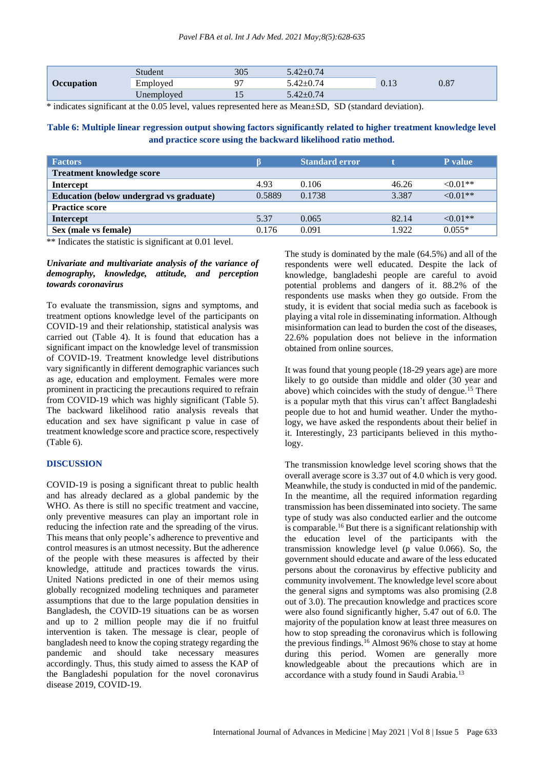| <b>Occupation</b> | Student    | 305  | $-42+0.74$        | 0.13 |      |
|-------------------|------------|------|-------------------|------|------|
|                   | Employed   | o٣   | 74<br>$.42 + 0.7$ |      | 0.87 |
|                   | Unemployed | - 11 | $-42 \pm 0.74$    |      |      |

\* indicates significant at the 0.05 level, values represented here as Mean±SD, SD (standard deviation).

**Table 6: Multiple linear regression output showing factors significantly related to higher treatment knowledge level and practice score using the backward likelihood ratio method.**

| <b>Factors</b>                          |        | <b>Standard error</b> |       | <b>P</b> value |
|-----------------------------------------|--------|-----------------------|-------|----------------|
| <b>Treatment knowledge score</b>        |        |                       |       |                |
| <b>Intercept</b>                        | 4.93   | 0.106                 | 46.26 | $<0.01**$      |
| Education (below undergrad vs graduate) | 0.5889 | 0.1738                | 3.387 | $<0.01**$      |
| <b>Practice score</b>                   |        |                       |       |                |
| Intercept                               | 5.37   | 0.065                 | 82.14 | $< 0.01**$     |
| Sex (male vs female)                    | 0.176  | 0.091                 | 1.922 | $0.055*$       |

\*\* Indicates the statistic is significant at 0.01 level.

#### *Univariate and multivariate analysis of the variance of demography, knowledge, attitude, and perception towards coronavirus*

To evaluate the transmission, signs and symptoms, and treatment options knowledge level of the participants on COVID-19 and their relationship, statistical analysis was carried out (Table 4). It is found that education has a significant impact on the knowledge level of transmission of COVID-19. Treatment knowledge level distributions vary significantly in different demographic variances such as age, education and employment. Females were more prominent in practicing the precautions required to refrain from COVID-19 which was highly significant (Table 5). The backward likelihood ratio analysis reveals that education and sex have significant p value in case of treatment knowledge score and practice score, respectively (Table 6).

#### **DISCUSSION**

COVID-19 is posing a significant threat to public health and has already declared as a global pandemic by the WHO. As there is still no specific treatment and vaccine, only preventive measures can play an important role in reducing the infection rate and the spreading of the virus. This means that only people's adherence to preventive and control measures is an utmost necessity. But the adherence of the people with these measures is affected by their knowledge, attitude and practices towards the virus. United Nations predicted in one of their memos using globally recognized modeling techniques and parameter assumptions that due to the large population densities in Bangladesh, the COVID-19 situations can be as worsen and up to 2 million people may die if no fruitful intervention is taken. The message is clear, people of bangladesh need to know the coping strategy regarding the pandemic and should take necessary measures accordingly. Thus, this study aimed to assess the KAP of the Bangladeshi population for the novel coronavirus disease 2019, COVID-19.

The study is dominated by the male (64.5%) and all of the respondents were well educated. Despite the lack of knowledge, bangladeshi people are careful to avoid potential problems and dangers of it. 88.2% of the respondents use masks when they go outside. From the study, it is evident that social media such as facebook is playing a vital role in disseminating information. Although misinformation can lead to burden the cost of the diseases, 22.6% population does not believe in the information obtained from online sources.

It was found that young people (18-29 years age) are more likely to go outside than middle and older (30 year and above) which coincides with the study of dengue.<sup>15</sup> There is a popular myth that this virus can't affect Bangladeshi people due to hot and humid weather. Under the mythology, we have asked the respondents about their belief in it. Interestingly, 23 participants believed in this mythology.

The transmission knowledge level scoring shows that the overall average score is 3.37 out of 4.0 which is very good. Meanwhile, the study is conducted in mid of the pandemic. In the meantime, all the required information regarding transmission has been disseminated into society. The same type of study was also conducted earlier and the outcome is comparable.<sup>16</sup> But there is a significant relationship with the education level of the participants with the transmission knowledge level (p value 0.066). So, the government should educate and aware of the less educated persons about the coronavirus by effective publicity and community involvement. The knowledge level score about the general signs and symptoms was also promising (2.8 out of 3.0). The precaution knowledge and practices score were also found significantly higher, 5.47 out of 6.0. The majority of the population know at least three measures on how to stop spreading the coronavirus which is following the previous findings.<sup>16</sup> Almost 96% chose to stay at home during this period. Women are generally more knowledgeable about the precautions which are in accordance with a study found in Saudi Arabia.<sup>13</sup>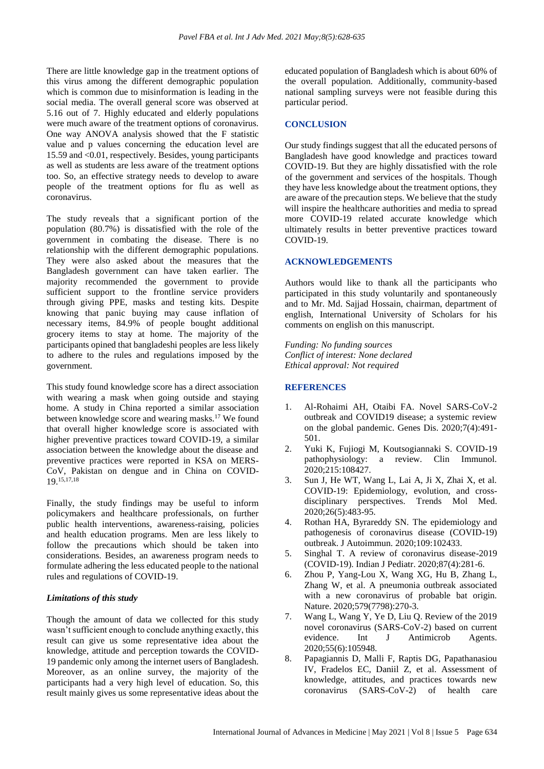There are little knowledge gap in the treatment options of this virus among the different demographic population which is common due to misinformation is leading in the social media. The overall general score was observed at 5.16 out of 7. Highly educated and elderly populations were much aware of the treatment options of coronavirus. One way ANOVA analysis showed that the F statistic value and p values concerning the education level are 15.59 and <0.01, respectively. Besides, young participants as well as students are less aware of the treatment options too. So, an effective strategy needs to develop to aware people of the treatment options for flu as well as coronavirus.

The study reveals that a significant portion of the population (80.7%) is dissatisfied with the role of the government in combating the disease. There is no relationship with the different demographic populations. They were also asked about the measures that the Bangladesh government can have taken earlier. The majority recommended the government to provide sufficient support to the frontline service providers through giving PPE, masks and testing kits. Despite knowing that panic buying may cause inflation of necessary items, 84.9% of people bought additional grocery items to stay at home. The majority of the participants opined that bangladeshi peoples are less likely to adhere to the rules and regulations imposed by the government.

This study found knowledge score has a direct association with wearing a mask when going outside and staying home. A study in China reported a similar association between knowledge score and wearing masks.<sup>17</sup> We found that overall higher knowledge score is associated with higher preventive practices toward COVID-19, a similar association between the knowledge about the disease and preventive practices were reported in KSA on MERS-CoV, Pakistan on dengue and in China on COVID-19.<sup>15,17,18</sup>

Finally, the study findings may be useful to inform policymakers and healthcare professionals, on further public health interventions, awareness-raising, policies and health education programs. Men are less likely to follow the precautions which should be taken into considerations. Besides, an awareness program needs to formulate adhering the less educated people to the national rules and regulations of COVID-19.

#### *Limitations of this study*

Though the amount of data we collected for this study wasn't sufficient enough to conclude anything exactly, this result can give us some representative idea about the knowledge, attitude and perception towards the COVID-19 pandemic only among the internet users of Bangladesh. Moreover, as an online survey, the majority of the participants had a very high level of education. So, this result mainly gives us some representative ideas about the educated population of Bangladesh which is about 60% of the overall population. Additionally, community-based national sampling surveys were not feasible during this particular period.

#### **CONCLUSION**

Our study findings suggest that all the educated persons of Bangladesh have good knowledge and practices toward COVID-19. But they are highly dissatisfied with the role of the government and services of the hospitals. Though they have less knowledge about the treatment options, they are aware of the precaution steps. We believe that the study will inspire the healthcare authorities and media to spread more COVID-19 related accurate knowledge which ultimately results in better preventive practices toward COVID-19.

#### **ACKNOWLEDGEMENTS**

Authors would like to thank all the participants who participated in this study voluntarily and spontaneously and to Mr. Md. Sajjad Hossain, chairman, department of english, International University of Scholars for his comments on english on this manuscript.

*Funding: No funding sources Conflict of interest: None declared Ethical approval: Not required*

#### **REFERENCES**

- 1. Al-Rohaimi AH, Otaibi FA. Novel SARS-CoV-2 outbreak and COVID19 disease; a systemic review on the global pandemic. Genes Dis. 2020;7(4):491- 501.
- 2. Yuki K, Fujiogi M, Koutsogiannaki S. COVID-19 pathophysiology: a review. Clin Immunol. 2020;215:108427.
- 3. Sun J, He WT, Wang L, Lai A, Ji X, Zhai X, et al. COVID-19: Epidemiology, evolution, and crossdisciplinary perspectives. Trends Mol Med. 2020;26(5):483-95.
- 4. Rothan HA, Byrareddy SN. The epidemiology and pathogenesis of coronavirus disease (COVID-19) outbreak. J Autoimmun. 2020;109:102433.
- 5. Singhal T. A review of coronavirus disease-2019 (COVID-19). Indian J Pediatr. 2020;87(4):281-6.
- 6. Zhou P, Yang-Lou X, Wang XG, Hu B, Zhang L, Zhang W, et al. A pneumonia outbreak associated with a new coronavirus of probable bat origin. Nature. 2020;579(7798):270-3.
- 7. Wang L, Wang Y, Ye D, Liu Q. Review of the 2019 novel coronavirus (SARS-CoV-2) based on current evidence. Int J Antimicrob Agents. 2020;55(6):105948.
- 8. Papagiannis D, Malli F, Raptis DG, Papathanasiou IV, Fradelos EC, Daniil Z, et al. Assessment of knowledge, attitudes, and practices towards new coronavirus (SARS-CoV-2) of health care